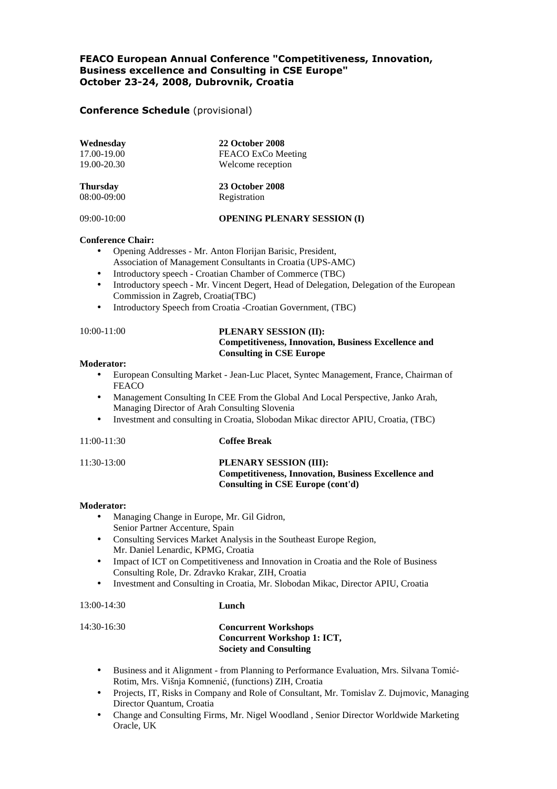# FEACO European Annual Conference "Competitiveness, Innovation, Business excellence and Consulting in CSE Europe" October 23-24, 2008, Dubrovnik, Croatia

# Conference Schedule (provisional)

| Wednesday<br>17.00-19.00<br>19.00-20.30<br><b>Thursday</b><br>08:00-09:00 | <b>22 October 2008</b><br>FEACO ExCo Meeting<br>Welcome reception<br><b>23 October 2008</b><br>Registration |
|---------------------------------------------------------------------------|-------------------------------------------------------------------------------------------------------------|
|                                                                           |                                                                                                             |

#### **Conference Chair:**

- Opening Addresses Mr. Anton Florijan Barisic, President, Association of Management Consultants in Croatia (UPS-AMC)
- Introductory speech Croatian Chamber of Commerce (TBC)
- Introductory speech Mr. Vincent Degert, Head of Delegation, Delegation of the European Commission in Zagreb, Croatia(TBC)
- Introductory Speech from Croatia -Croatian Government, (TBC)

# 10:00-11:00 **PLENARY SESSION (II): Competitiveness, Innovation, Business Excellence and Consulting in CSE Europe**

### **Moderator:**

- European Consulting Market Jean-Luc Placet, Syntec Management, France, Chairman of FEACO
- Management Consulting In CEE From the Global And Local Perspective, Janko Arah, Managing Director of Arah Consulting Slovenia
- Investment and consulting in Croatia, Slobodan Mikac director APIU, Croatia, (TBC)

#### 11:00-11:30 **Coffee Break**

### 11:30-13:00 **PLENARY SESSION (III): Competitiveness, Innovation, Business Excellence and Consulting in CSE Europe (cont'd)**

#### **Moderator:**

- Managing Change in Europe, Mr. Gil Gidron, Senior Partner Accenture, Spain
- Consulting Services Market Analysis in the Southeast Europe Region, Mr. Daniel Lenardic, KPMG, Croatia
- Impact of ICT on Competitiveness and Innovation in Croatia and the Role of Business Consulting Role, Dr. Zdravko Krakar, ZIH, Croatia
- Investment and Consulting in Croatia, Mr. Slobodan Mikac, Director APIU, Croatia

13:00-14:30 **Lunch**

## 14:30-16:30 **Concurrent Workshops Concurrent Workshop 1: ICT, Society and Consulting**

- Business and it Alignment from Planning to Performance Evaluation, Mrs. Silvana Tomić-Rotim, Mrs. Višnja Komnenić, (functions) ZIH, Croatia
- Projects, IT, Risks in Company and Role of Consultant, Mr. Tomislav Z. Dujmovic, Managing Director Quantum, Croatia
- Change and Consulting Firms, Mr. Nigel Woodland , Senior Director Worldwide Marketing Oracle, UK